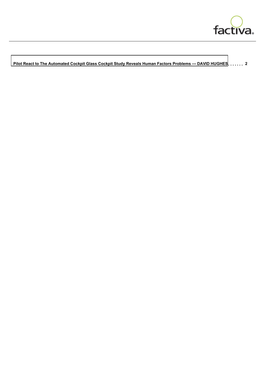

 **[Pilot React to The Automated Cockpit Glass Cockpit Study Reveals Human Factors Problems --- DAVID HUGHES](#page-1-0) 2**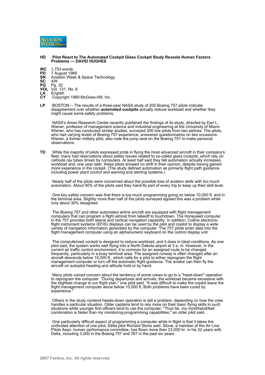<span id="page-1-0"></span>

## **HD Pilot React to The Automated Cockpit Glass Cockpit Study Reveals Human Factors Problems --- DAVID HUGHES**

- **WC** 1,753 words<br>**PD** 7 August 19
- **PD** 7 August 1989<br>**SN** Aviation Week
- **SN** Aviation Week & Space Technology
- **SC** AW<br>**PG** Pg.
- **PG Pg. 32**<br>**VOL** Vol. 13
- **VOL** Vol. 131, No. 6<br> **LA** English<br> **CY** Copyright 1989
- **LA** English
- Copyright 1989 McGraw-Hill, Inc.
- LP BOSTON -- The results of a three-year NASA study of 200 Boeing 757 pilots indicate disagreement over whether **automated cockpits** actually reduce workload and whether they might cause some safety problems.

 NASA's Ames Research Center recently published the findings of its study, directed by Earl L. Wiener, professor of management science and industrial engineering at the University of Miami. Wiener, who has conducted similar studies, surveyed 200 line pilots from two airlines. The pilots, who had varying levels of Boeing 757 experience, answered questionnaires on two occasions. Wiener, a former military pilot, also rode the jump seat on the Boeing 757 to make personal observations.

**TD** While the majority of pilots expressed pride in flying the most advanced aircraft in their company's fleet, many had reservations about safety issues related to so-called glass cockpits, which rely on cathode ray tubes driven by computers. At least half said they felt automation actually increases workload and, one year later, these pilots showed no shift in their opinion, despite having gained more experience in the cockpit. (The study defined automation as primarily flight path guidance including power plant control and warning and alerting systems.)

 Nearly half of the pilots were concerned about the possible loss of aviation skills with too much automation. About 90% of the pilots said they hand-fly part of every trip to keep up their skill level.

 One key safety concern was that there is too much programming going on below 10,000 ft. and in the terminal area. Slightly more than half of the pilots surveyed agreed this was a problem while only about 30% disagreed.

 The Boeing 757 and other automated airline aircraft are equipped with flight management computers that can program a flight almost from takeoff to touchdown. The Honeywell computer in the 757 provides both lateral and vertical navigation capability. In addition, Collins electronic flight instrument systems (EFIS) displays can be used by the pilot and copilot to display a wide variety of navigation information generated by the computer. The 757 pilots enter data into the flight management computer using an alphanumeric keyboard on the control display unit.

 The computerized cockpit is designed to reduce workload, and it does in ideal conditions. As one pilot said, the system works well flying into a North Dakota airport at 3 a. m. However, in the current air traffic control environment, it is common for an assigned route to be changed frequently, particularly in a busy terminal area. The assigned runway is often changed after an aircraft descends below 10,000 ft., which calls for a pilot to either reprogram the flight management computer or turn off the automatic flight guidance. The aviator can then fly the aircraft on autopilot heading and altitude hold or by hand.

 Many pilots voiced concern about the tendency of some crews to go to a ''head-down'' operation to reprogram the computer. ''During departures and arrivals, the workload became excessive with the slightest change to our flight plan,'' one pilot said. ''It was difficult to make the copilot leave the flight management computer alone below 10,000 ft. Both problems have been cured by experience.

 Others in the study contend heads-down operation is still a problem, depending on how the crew handles a particular situation. Older captains tend to rely more on their basic flying skills in such situations while younger first officers tend to use the computer. ''Thus far, my mind/hand/feet combination is faster than my monitoring-programming capabilities,'' an older pilot said.

 One particularly difficult aspect of programming a computer while in flight is that it takes the undivided attention of one pilot, Delta pilot Richard Stone said. Stone, a member of the Air Line Pilots Assn. human performance committee, has flown more than 23,000 hr. in his 32 years with Delta, including 3,000 in the Boeing 757 and 767 in the past six years.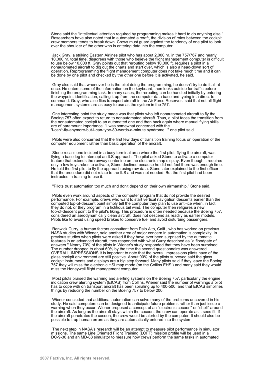Stone said the ''intellectual attention required by programming makes it hard to do anything else.'' Researchers have also noted that in automated aircraft, the division of roles between the cockpit crew members tends to break down. Crews must guard against the tendency of one pilot to look over the shoulder of the other who is entering data into the computer.

 Jack Gray, a striking Eastern Airlines pilot who has about 2,000 hr. in the 757/767 and nearly 10,000 hr. total time, disagrees with those who believe the flight management computer is difficult to use below 10,000 ft. Gray points out that rerouting below 10,000 ft. requires a pilot in a nonautomated aircraft to dig out the charts and start over, which is also a head-down sort of operation. Reprogramming the flight management computer does not take much time and it can be done by one pilot and checked by the other one before it is activated, he said.

 Gray also said that whenever he is the pilot doing the programming, he doesn't try to do it all at once. He enters some of the information on the keyboard, then looks outside for traffic before finishing the programming task. In many cases, the rerouting can be handled initially by entering the waypoint identification, calling it up from the computer data base and typing in a direct-to command. Gray, who also flies transport aircraft in the Air Force Reserves, said that not all flight management systems are as easy to use as the system in the 757.

 One interesting point the study made was that pilots who left nonautomated aircraft to fly the Boeing 757 often expect to return to nonautomated aircraft. Thus, a pilot faces the transition from the nonautomated cockpit to an automated one and then back again where manual flying skills are of paramount importance. ''I was somewhat concerned with the 'I-can't-fly-anymore-but-I-can-type-80-words-a-minute syndrome,' '' one pilot said.

 Pilots were also concerned that the first few days of transition training focus on operation of the computer equipment rather than basic operation of the aircraft.

 Stone recalls one incident in a busy terminal area where the first pilot, flying the aircraft, was flying a base leg to intercept an ILS approach. The pilot asked Stone to activate a computer feature that extends the runway centerline on the electronic map display. Even though it requires only a few keystrokes to activate, Stone declined because he did not feel there was enough time. He told the first pilot to fly the approach using raw data. Stone later explained to the first officer that the procedure did not relate to the ILS and was not needed. But the first pilot had been instructed in training to use it.

''Pilots trust automation too much and don't depend on their own airmanship,'' Stone said.

 Pilots even work around aspects of the computer program that do not provide the desired performance. For example, crews who want to start vertical navigation descents earlier than the computed top-of-descent point simply tell the computer they plan to use anti-ice when, in fact, they do not, or they program in a fictitious tail wind. The computer then refigures a new top-of-descent point to the pilot's liking. This procedure is often needed because the Boeing 757, considered an aerodynamically clean aircraft, does not descend as readily as earlier models. Pilots like to avoid using speed brakes to conserve fuel and avoid disturbing passengers.

 Renwick Curry, a human factors consultant from Palo Alto, Calif., who has worked on previous NASA studies with Wiener, said another area of major concern in automation is complexity. In previous studies when pilots were asked if they have ever been surprised by the automatic features in an advanced aircraft, they responded with what Curry described as ''a floodgate of answers.'' Nearly 70% of the pilots in Wiener's study responded that they have been surprised. The number dropped to about 60% by the time the second questionnaire was answered. OVERALL IMPRESSIONS It is important to note that the overall impressions pilots have of the glass cockpit environment are still positive. About 90% of the pilots surveyed said the glass cockpit instruments and displays are a big step forward. Many pilots said if they leave the Boeing 757 they will miss the electronic HSI map mode (on the Collins EHSI) and many said they would miss the Honeywell flight management computer.

 Most pilots praised the warning and alerting systems on the Boeing 757, particularly the engine indication crew alerting system (EICAS) from Collins. Wiener said the number of warnings a pilot has to cope with on transport aircraft has been spiraling up to 400-500, and that EICAS simplifies things by reducing the number on the Boeing 757 to below 200.

 Wiener concluded that additional automation can solve many of the problems uncovered in his study. He said computers can be designed to anticipate future problems rather than just issue a warning when they occur. Wiener proposed a concept of an ''electronic cocoon'' or ''shell'' around the aircraft. As long as the aircraft stays within the cocoon, the crew can operate as it sees fit. If the aircraft penetrates the cocoon, the crew would be alerted by the computer. It should also be possible to trap human errors as they are automatically entered into the system.

 The next step in NASA's research will be an attempt to measure pilot performance in simulator missions. The same Line Oriented Flight Training (LOFT) mission profile will be used in a DC-9-30 and an MD-88 simulator to measure how crews perform the same tasks in automated